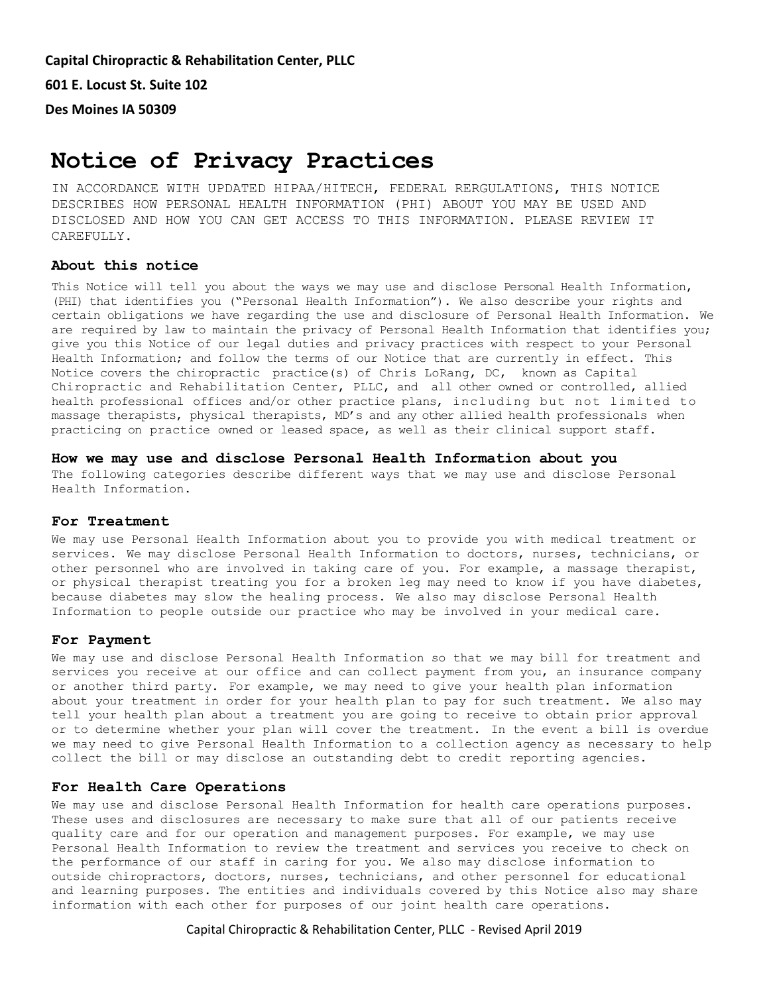**Capital Chiropractic & Rehabilitation Center, PLLC 601 E. Locust St. Suite 102 Des Moines IA 50309**

# **Notice of Privacy Practices**

IN ACCORDANCE WITH UPDATED HIPAA/HITECH, FEDERAL RERGULATIONS, THIS NOTICE DESCRIBES HOW PERSONAL HEALTH INFORMATION (PHI) ABOUT YOU MAY BE USED AND DISCLOSED AND HOW YOU CAN GET ACCESS TO THIS INFORMATION. PLEASE REVIEW IT CAREFULLY.

## **About this notice**

This Notice will tell you about the ways we may use and disclose Personal Health Information, (PHI) that identifies you ("Personal Health Information"). We also describe your rights and certain obligations we have regarding the use and disclosure of Personal Health Information. We are required by law to maintain the privacy of Personal Health Information that identifies you; give you this Notice of our legal duties and privacy practices with respect to your Personal Health Information; and follow the terms of our Notice that are currently in effect. This Notice covers the chiropractic practice(s) of Chris LoRang, DC, known as Capital Chiropractic and Rehabilitation Center, PLLC, and all other owned or controlled, allied health professional offices and/or other practice plans, including but not limited to massage therapists, physical therapists, MD's and any other allied health professionals when practicing on practice owned or leased space, as well as their clinical support staff.

**How we may use and disclose Personal Health Information about you** The following categories describe different ways that we may use and disclose Personal Health Information.

#### **For Treatment**

We may use Personal Health Information about you to provide you with medical treatment or services. We may disclose Personal Health Information to doctors, nurses, technicians, or other personnel who are involved in taking care of you. For example, a massage therapist, or physical therapist treating you for a broken leg may need to know if you have diabetes, because diabetes may slow the healing process. We also may disclose Personal Health Information to people outside our practice who may be involved in your medical care.

## **For Payment**

We may use and disclose Personal Health Information so that we may bill for treatment and services you receive at our office and can collect payment from you, an insurance company or another third party. For example, we may need to give your health plan information about your treatment in order for your health plan to pay for such treatment. We also may tell your health plan about a treatment you are going to receive to obtain prior approval or to determine whether your plan will cover the treatment. In the event a bill is overdue we may need to give Personal Health Information to a collection agency as necessary to help collect the bill or may disclose an outstanding debt to credit reporting agencies.

## **For Health Care Operations**

We may use and disclose Personal Health Information for health care operations purposes. These uses and disclosures are necessary to make sure that all of our patients receive quality care and for our operation and management purposes. For example, we may use Personal Health Information to review the treatment and services you receive to check on the performance of our staff in caring for you. We also may disclose information to outside chiropractors, doctors, nurses, technicians, and other personnel for educational and learning purposes. The entities and individuals covered by this Notice also may share information with each other for purposes of our joint health care operations.

## Capital Chiropractic & Rehabilitation Center, PLLC - Revised April 2019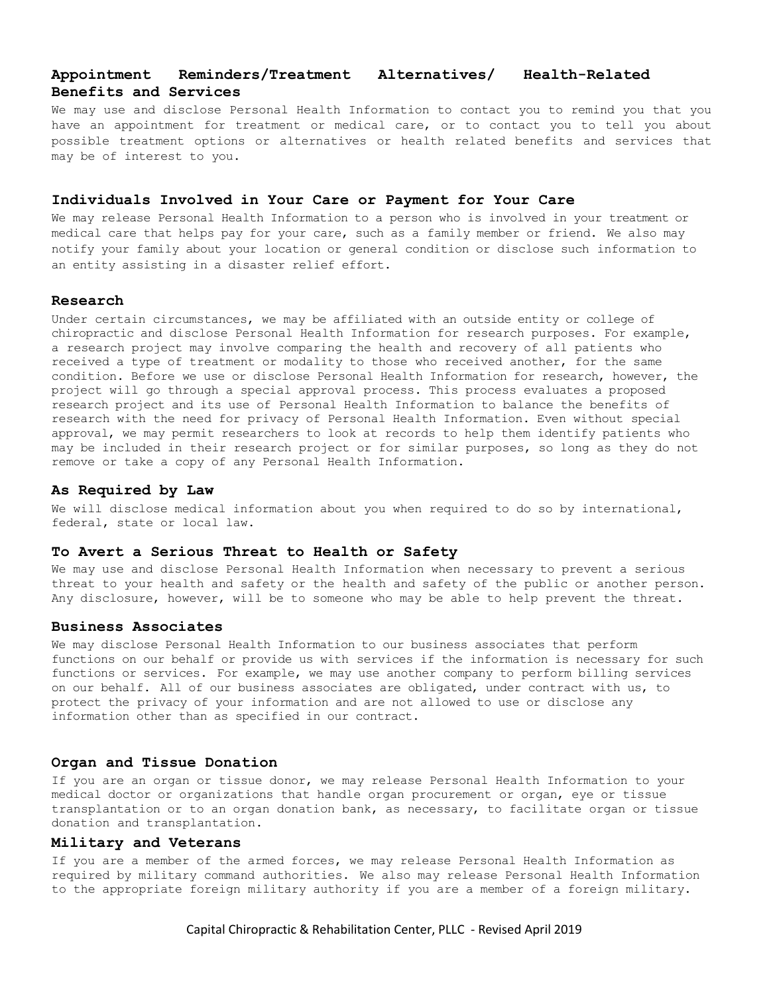## **Appointment Reminders/Treatment Alternatives/ Health-Related Benefits and Services**

We may use and disclose Personal Health Information to contact you to remind you that you have an appointment for treatment or medical care, or to contact you to tell you about possible treatment options or alternatives or health related benefits and services that may be of interest to you.

## **Individuals Involved in Your Care or Payment for Your Care**

We may release Personal Health Information to a person who is involved in your treatment or medical care that helps pay for your care, such as a family member or friend. We also may notify your family about your location or general condition or disclose such information to an entity assisting in a disaster relief effort.

## **Research**

Under certain circumstances, we may be affiliated with an outside entity or college of chiropractic and disclose Personal Health Information for research purposes. For example, a research project may involve comparing the health and recovery of all patients who received a type of treatment or modality to those who received another, for the same condition. Before we use or disclose Personal Health Information for research, however, the project will go through a special approval process. This process evaluates a proposed research project and its use of Personal Health Information to balance the benefits of research with the need for privacy of Personal Health Information. Even without special approval, we may permit researchers to look at records to help them identify patients who may be included in their research project or for similar purposes, so long as they do not remove or take a copy of any Personal Health Information.

#### **As Required by Law**

We will disclose medical information about you when required to do so by international, federal, state or local law.

## **To Avert a Serious Threat to Health or Safety**

We may use and disclose Personal Health Information when necessary to prevent a serious threat to your health and safety or the health and safety of the public or another person. Any disclosure, however, will be to someone who may be able to help prevent the threat.

## **Business Associates**

We may disclose Personal Health Information to our business associates that perform functions on our behalf or provide us with services if the information is necessary for such functions or services. For example, we may use another company to perform billing services on our behalf. All of our business associates are obligated, under contract with us, to protect the privacy of your information and are not allowed to use or disclose any information other than as specified in our contract.

#### **Organ and Tissue Donation**

If you are an organ or tissue donor, we may release Personal Health Information to your medical doctor or organizations that handle organ procurement or organ, eye or tissue transplantation or to an organ donation bank, as necessary, to facilitate organ or tissue donation and transplantation.

## **Military and Veterans**

If you are a member of the armed forces, we may release Personal Health Information as required by military command authorities. We also may release Personal Health Information to the appropriate foreign military authority if you are a member of a foreign military.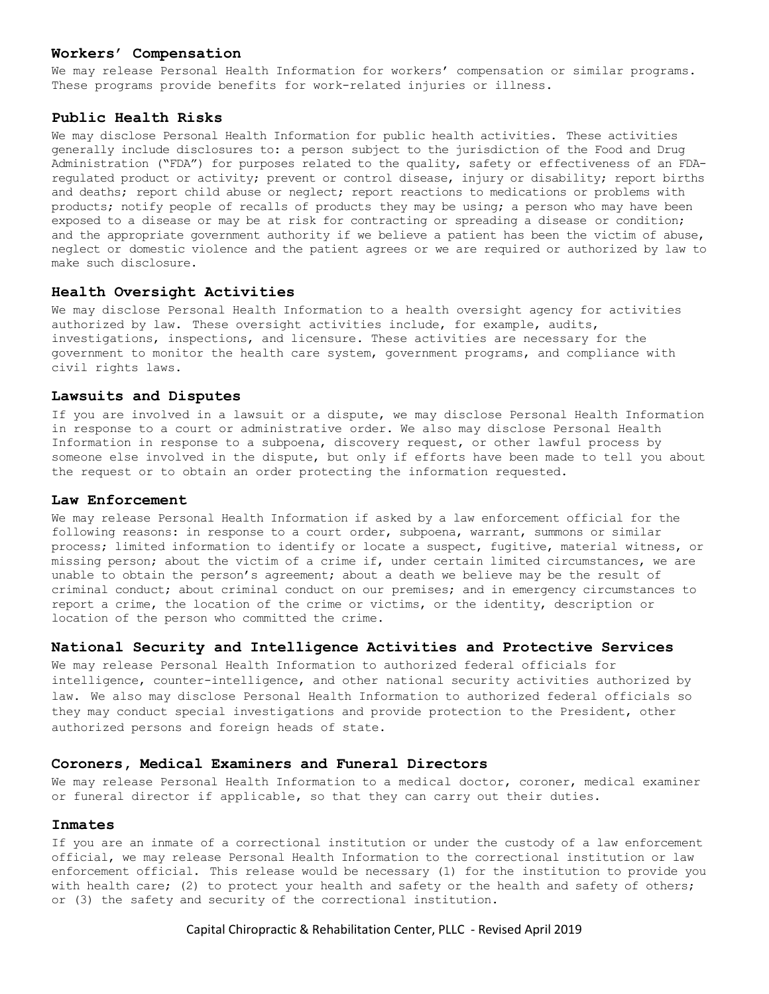## **Workers' Compensation**

We may release Personal Health Information for workers' compensation or similar programs. These programs provide benefits for work-related injuries or illness.

## **Public Health Risks**

We may disclose Personal Health Information for public health activities. These activities generally include disclosures to: a person subject to the jurisdiction of the Food and Drug Administration ("FDA") for purposes related to the quality, safety or effectiveness of an FDAregulated product or activity; prevent or control disease, injury or disability; report births and deaths; report child abuse or neglect; report reactions to medications or problems with products; notify people of recalls of products they may be using; a person who may have been exposed to a disease or may be at risk for contracting or spreading a disease or condition; and the appropriate government authority if we believe a patient has been the victim of abuse, neglect or domestic violence and the patient agrees or we are required or authorized by law to make such disclosure.

## **Health Oversight Activities**

We may disclose Personal Health Information to a health oversight agency for activities authorized by law. These oversight activities include, for example, audits, investigations, inspections, and licensure. These activities are necessary for the government to monitor the health care system, government programs, and compliance with civil rights laws.

## **Lawsuits and Disputes**

If you are involved in a lawsuit or a dispute, we may disclose Personal Health Information in response to a court or administrative order. We also may disclose Personal Health Information in response to a subpoena, discovery request, or other lawful process by someone else involved in the dispute, but only if efforts have been made to tell you about the request or to obtain an order protecting the information requested.

## **Law Enforcement**

We may release Personal Health Information if asked by a law enforcement official for the following reasons: in response to a court order, subpoena, warrant, summons or similar process; limited information to identify or locate a suspect, fugitive, material witness, or missing person; about the victim of a crime if, under certain limited circumstances, we are unable to obtain the person's agreement; about a death we believe may be the result of criminal conduct; about criminal conduct on our premises; and in emergency circumstances to report a crime, the location of the crime or victims, or the identity, description or location of the person who committed the crime.

#### **National Security and Intelligence Activities and Protective Services**

We may release Personal Health Information to authorized federal officials for intelligence, counter-intelligence, and other national security activities authorized by law. We also may disclose Personal Health Information to authorized federal officials so they may conduct special investigations and provide protection to the President, other authorized persons and foreign heads of state.

## **Coroners, Medical Examiners and Funeral Directors**

We may release Personal Health Information to a medical doctor, coroner, medical examiner or funeral director if applicable, so that they can carry out their duties.

## **Inmates**

If you are an inmate of a correctional institution or under the custody of a law enforcement official, we may release Personal Health Information to the correctional institution or law enforcement official. This release would be necessary (1) for the institution to provide you with health care; (2) to protect your health and safety or the health and safety of others; or (3) the safety and security of the correctional institution.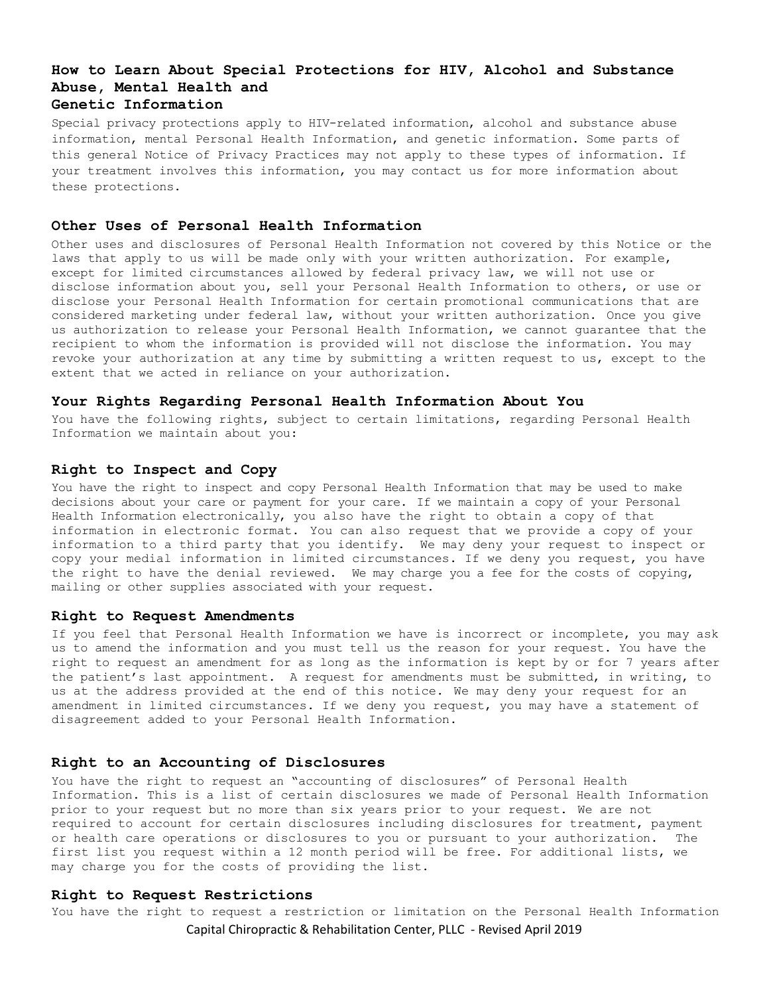# **How to Learn About Special Protections for HIV, Alcohol and Substance Abuse, Mental Health and Genetic Information**

Special privacy protections apply to HIV-related information, alcohol and substance abuse information, mental Personal Health Information, and genetic information. Some parts of this general Notice of Privacy Practices may not apply to these types of information. If your treatment involves this information, you may contact us for more information about these protections.

## **Other Uses of Personal Health Information**

Other uses and disclosures of Personal Health Information not covered by this Notice or the laws that apply to us will be made only with your written authorization. For example, except for limited circumstances allowed by federal privacy law, we will not use or disclose information about you, sell your Personal Health Information to others, or use or disclose your Personal Health Information for certain promotional communications that are considered marketing under federal law, without your written authorization. Once you give us authorization to release your Personal Health Information, we cannot guarantee that the recipient to whom the information is provided will not disclose the information. You may revoke your authorization at any time by submitting a written request to us, except to the extent that we acted in reliance on your authorization.

## **Your Rights Regarding Personal Health Information About You**

You have the following rights, subject to certain limitations, regarding Personal Health Information we maintain about you:

## **Right to Inspect and Copy**

You have the right to inspect and copy Personal Health Information that may be used to make decisions about your care or payment for your care. If we maintain a copy of your Personal Health Information electronically, you also have the right to obtain a copy of that information in electronic format. You can also request that we provide a copy of your information to a third party that you identify. We may deny your request to inspect or copy your medial information in limited circumstances. If we deny you request, you have the right to have the denial reviewed. We may charge you a fee for the costs of copying, mailing or other supplies associated with your request.

#### **Right to Request Amendments**

If you feel that Personal Health Information we have is incorrect or incomplete, you may ask us to amend the information and you must tell us the reason for your request. You have the right to request an amendment for as long as the information is kept by or for 7 years after the patient's last appointment. A request for amendments must be submitted, in writing, to us at the address provided at the end of this notice. We may deny your request for an amendment in limited circumstances. If we deny you request, you may have a statement of disagreement added to your Personal Health Information.

#### **Right to an Accounting of Disclosures**

You have the right to request an "accounting of disclosures" of Personal Health Information. This is a list of certain disclosures we made of Personal Health Information prior to your request but no more than six years prior to your request. We are not required to account for certain disclosures including disclosures for treatment, payment or health care operations or disclosures to you or pursuant to your authorization. The first list you request within a 12 month period will be free. For additional lists, we may charge you for the costs of providing the list.

## **Right to Request Restrictions**

Capital Chiropractic & Rehabilitation Center, PLLC - Revised April 2019 You have the right to request a restriction or limitation on the Personal Health Information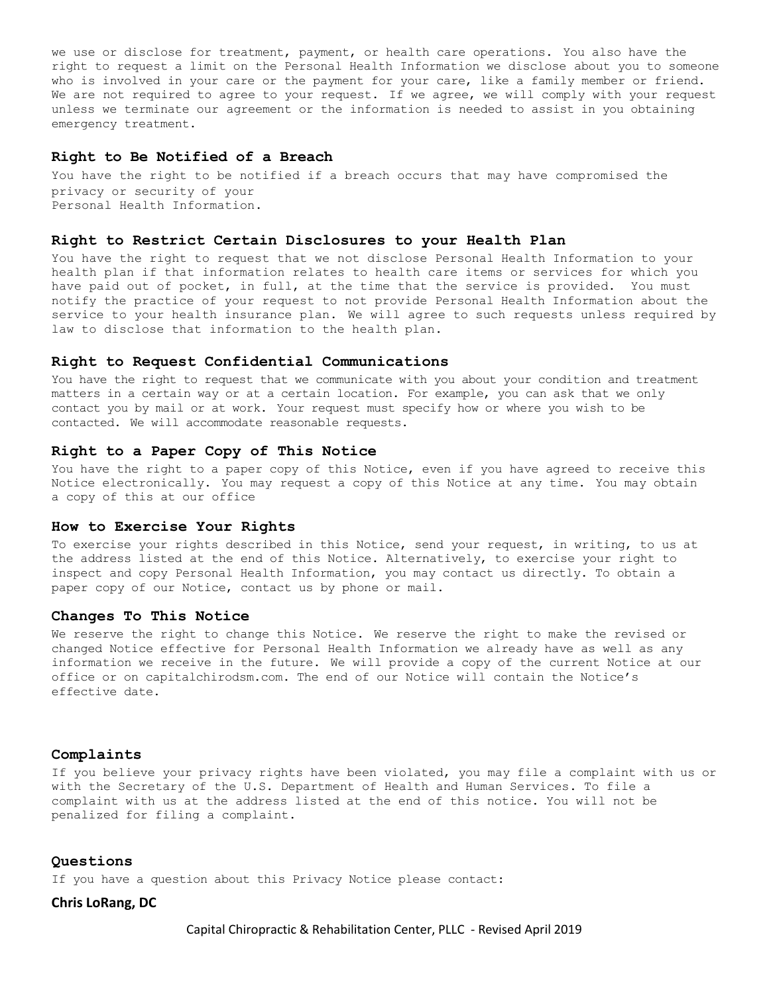we use or disclose for treatment, payment, or health care operations. You also have the right to request a limit on the Personal Health Information we disclose about you to someone who is involved in your care or the payment for your care, like a family member or friend. We are not required to agree to your request. If we agree, we will comply with your request unless we terminate our agreement or the information is needed to assist in you obtaining emergency treatment.

#### **Right to Be Notified of a Breach**

You have the right to be notified if a breach occurs that may have compromised the privacy or security of your Personal Health Information.

#### **Right to Restrict Certain Disclosures to your Health Plan**

You have the right to request that we not disclose Personal Health Information to your health plan if that information relates to health care items or services for which you have paid out of pocket, in full, at the time that the service is provided. You must notify the practice of your request to not provide Personal Health Information about the service to your health insurance plan. We will agree to such requests unless required by law to disclose that information to the health plan.

#### **Right to Request Confidential Communications**

You have the right to request that we communicate with you about your condition and treatment matters in a certain way or at a certain location. For example, you can ask that we only contact you by mail or at work. Your request must specify how or where you wish to be contacted. We will accommodate reasonable requests.

## **Right to a Paper Copy of This Notice**

You have the right to a paper copy of this Notice, even if you have agreed to receive this Notice electronically. You may request a copy of this Notice at any time. You may obtain a copy of this at our office

### **How to Exercise Your Rights**

To exercise your rights described in this Notice, send your request, in writing, to us at the address listed at the end of this Notice. Alternatively, to exercise your right to inspect and copy Personal Health Information, you may contact us directly. To obtain a paper copy of our Notice, contact us by phone or mail.

#### **Changes To This Notice**

We reserve the right to change this Notice. We reserve the right to make the revised or changed Notice effective for Personal Health Information we already have as well as any information we receive in the future. We will provide a copy of the current Notice at our office or on capitalchirodsm.com. The end of our Notice will contain the Notice's effective date.

#### **Complaints**

If you believe your privacy rights have been violated, you may file a complaint with us or with the Secretary of the U.S. Department of Health and Human Services. To file a complaint with us at the address listed at the end of this notice. You will not be penalized for filing a complaint.

## **Questions**

If you have a question about this Privacy Notice please contact:

## **Chris LoRang, DC**

Capital Chiropractic & Rehabilitation Center, PLLC - Revised April 2019